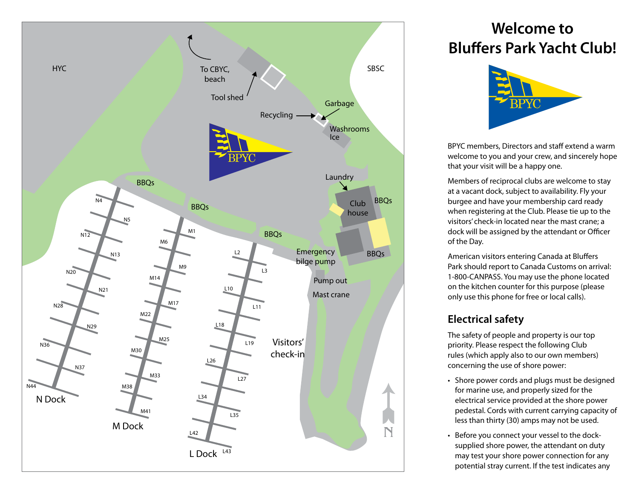

# **Welcome to Bluffers Park Yacht Club!**



BPYC members, Directors and staff extend a warm welcome to you and your crew, and sincerely hope that your visit will be a happy one.

Members of reciprocal clubs are welcome to stay at a vacant dock, subject to availability. Fly your burgee and have your membership card ready when registering at the Club. Please tie up to the visitors' check-in located near the mast crane; a dock will be assigned by the attendant or Officer of the Day.

American visitors entering Canada at Bluffers Park should report to Canada Customs on arrival: 1-800-CANPASS. You may use the phone located on the kitchen counter for this purpose (please only use this phone for free or local calls).

# **Electrical safety**

The safety of people and property is our top priority. Please respect the following Club rules (which apply also to our own members) concerning the use of shore power:

- Shore power cords and plugs must be designed for marine use, and properly sized for the electrical service provided at the shore power pedestal. Cords with current carrying capacity of less than thirty (30) amps may not be used.
- Before you connect your vessel to the docksupplied shore power, the attendant on duty may test your shore power connection for any potential stray current. If the test indicates any